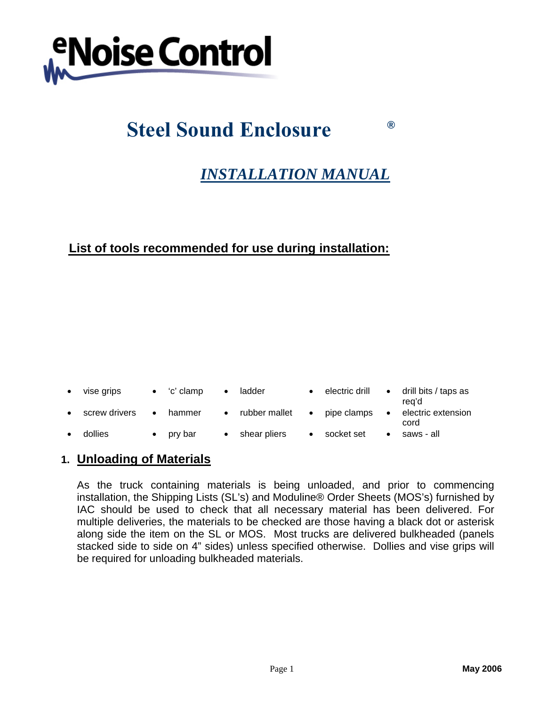

# **Steel Sound Enclosure**

## *INSTALLATION MANUAL*

**®** 

## **List of tools recommended for use during installation:**

| $\bullet$ | vise grips    |   | ʻc' clamp | $\bullet$ | ladder        |           | electric drill |           | drill bits / taps as<br>rea'd |
|-----------|---------------|---|-----------|-----------|---------------|-----------|----------------|-----------|-------------------------------|
| $\bullet$ | screw drivers | ٠ | hammer    | $\bullet$ | rubber mallet | $\bullet$ | pipe clamps    | $\bullet$ | electric extension<br>cord    |
| $\bullet$ | dollies       |   | pry bar   |           | shear pliers  |           | socket set     |           | saws - all                    |

### **1. Unloading of Materials**

As the truck containing materials is being unloaded, and prior to commencing installation, the Shipping Lists (SL's) and Moduline® Order Sheets (MOS's) furnished by IAC should be used to check that all necessary material has been delivered. For multiple deliveries, the materials to be checked are those having a black dot or asterisk along side the item on the SL or MOS. Most trucks are delivered bulkheaded (panels stacked side to side on 4" sides) unless specified otherwise. Dollies and vise grips will be required for unloading bulkheaded materials.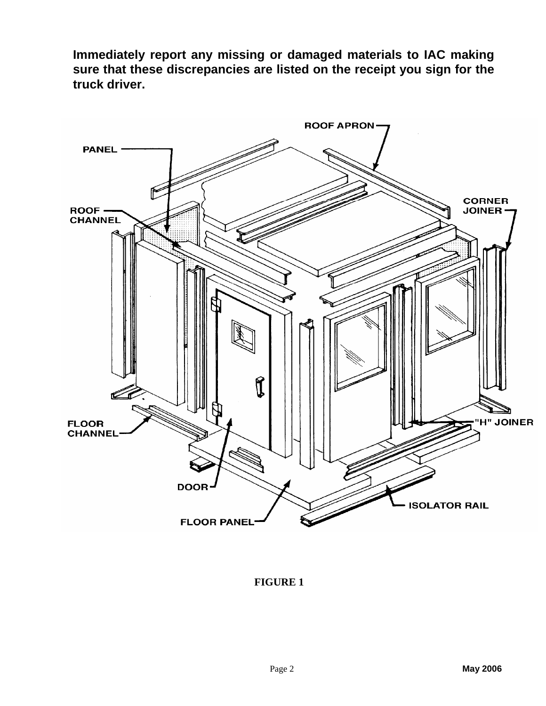**Immediately report any missing or damaged materials to IAC making sure that these discrepancies are listed on the receipt you sign for the truck driver.**



#### **FIGURE 1**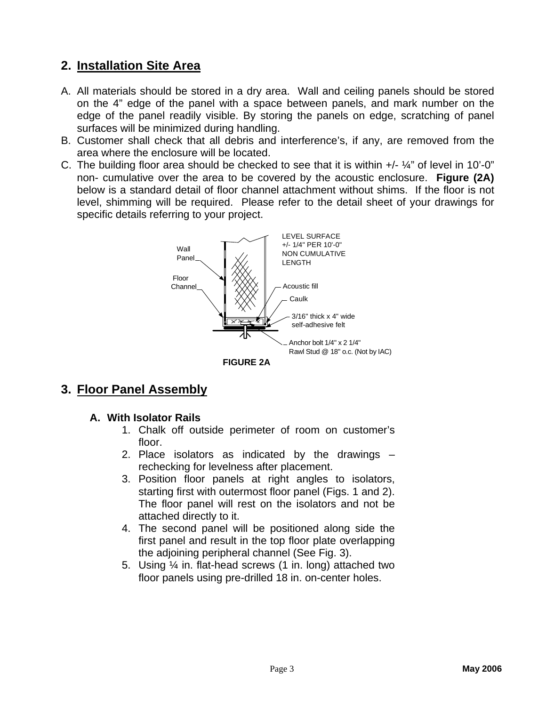## **2. Installation Site Area**

- A. All materials should be stored in a dry area. Wall and ceiling panels should be stored on the 4" edge of the panel with a space between panels, and mark number on the edge of the panel readily visible. By storing the panels on edge, scratching of panel surfaces will be minimized during handling.
- B. Customer shall check that all debris and interference's, if any, are removed from the area where the enclosure will be located.
- C. The building floor area should be checked to see that it is within  $+/ \frac{1}{4}$ " of level in 10'-0" non- cumulative over the area to be covered by the acoustic enclosure. **Figure (2A)** below is a standard detail of floor channel attachment without shims. If the floor is not level, shimming will be required. Please refer to the detail sheet of your drawings for specific details referring to your project.



### **3. Floor Panel Assembly**

#### **A. With Isolator Rails**

- 1. Chalk off outside perimeter of room on customer's floor.
- 2. Place isolators as indicated by the drawings rechecking for levelness after placement.
- 3. Position floor panels at right angles to isolators, starting first with outermost floor panel (Figs. 1 and 2). The floor panel will rest on the isolators and not be attached directly to it.
- 4. The second panel will be positioned along side the first panel and result in the top floor plate overlapping the adjoining peripheral channel (See Fig. 3).
- 5. Using ¼ in. flat-head screws (1 in. long) attached two floor panels using pre-drilled 18 in. on-center holes.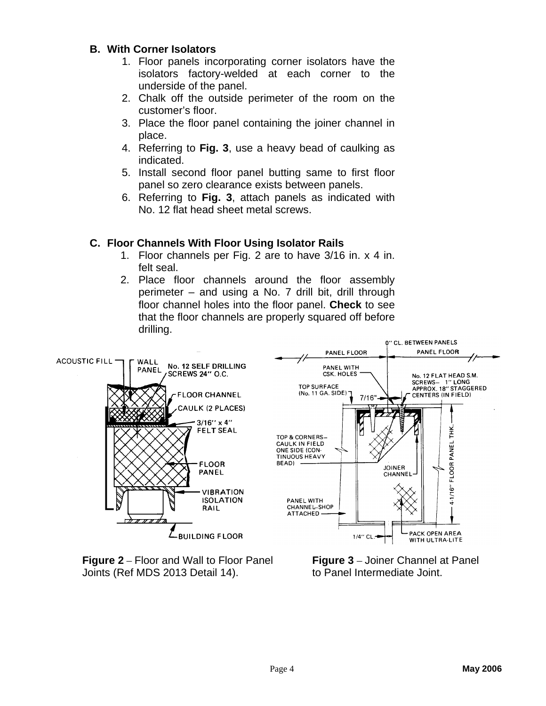#### **B. With Corner Isolators**

- 1. Floor panels incorporating corner isolators have the isolators factory-welded at each corner to the underside of the panel.
- 2. Chalk off the outside perimeter of the room on the customer's floor.
- 3. Place the floor panel containing the joiner channel in place.
- 4. Referring to **Fig. 3**, use a heavy bead of caulking as indicated.
- 5. Install second floor panel butting same to first floor panel so zero clearance exists between panels.
- 6. Referring to **Fig. 3**, attach panels as indicated with No. 12 flat head sheet metal screws.

#### **C. Floor Channels With Floor Using Isolator Rails**

- 1. Floor channels per Fig. 2 are to have 3/16 in. x 4 in. felt seal.
- 2. Place floor channels around the floor assembly perimeter – and using a No. 7 drill bit, drill through floor channel holes into the floor panel. **Check** to see that the floor channels are properly squared off before drilling.





**Figure 3** – Joiner Channel at Panel to Panel Intermediate Joint.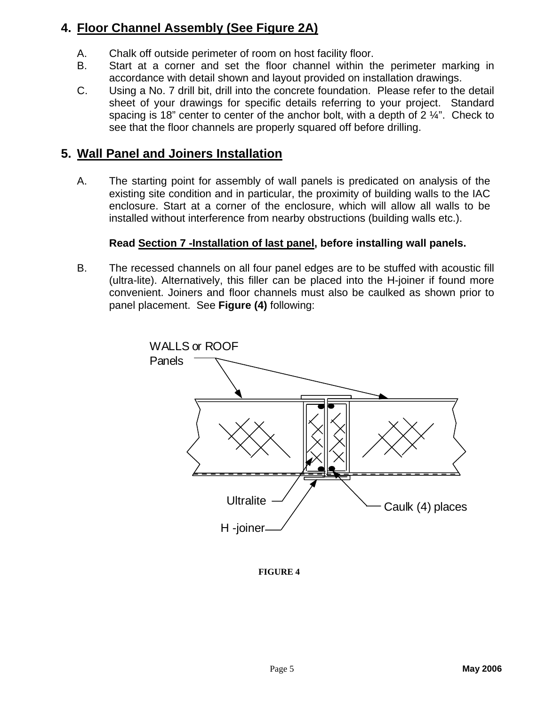## **4. Floor Channel Assembly (See Figure 2A)**

- A. Chalk off outside perimeter of room on host facility floor.
- B. Start at a corner and set the floor channel within the perimeter marking in accordance with detail shown and layout provided on installation drawings.
- C. Using a No. 7 drill bit, drill into the concrete foundation. Please refer to the detail sheet of your drawings for specific details referring to your project. Standard spacing is 18" center to center of the anchor bolt, with a depth of  $2 \frac{1}{4}$ ". Check to see that the floor channels are properly squared off before drilling.

#### **5. Wall Panel and Joiners Installation**

A. The starting point for assembly of wall panels is predicated on analysis of the existing site condition and in particular, the proximity of building walls to the IAC enclosure. Start at a corner of the enclosure, which will allow all walls to be installed without interference from nearby obstructions (building walls etc.).

#### **Read Section 7 -Installation of last panel, before installing wall panels.**

B. The recessed channels on all four panel edges are to be stuffed with acoustic fill (ultra-lite). Alternatively, this filler can be placed into the H-joiner if found more convenient. Joiners and floor channels must also be caulked as shown prior to panel placement. See **Figure (4)** following:



**FIGURE 4**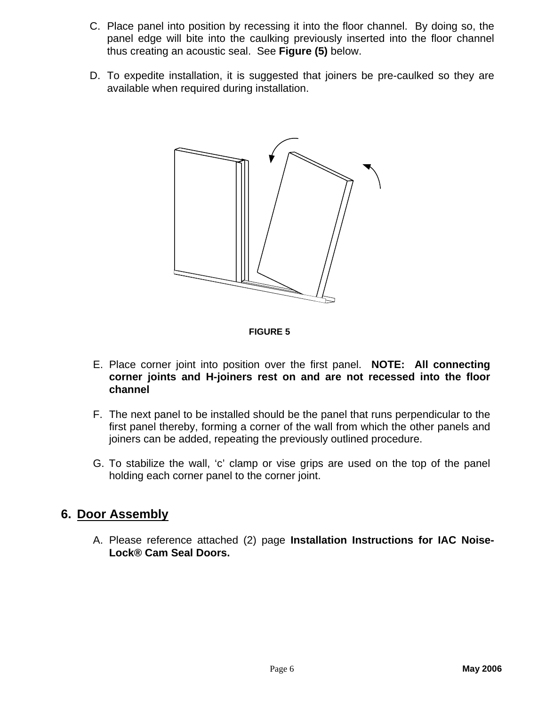- C. Place panel into position by recessing it into the floor channel. By doing so, the panel edge will bite into the caulking previously inserted into the floor channel thus creating an acoustic seal. See **Figure (5)** below.
- D. To expedite installation, it is suggested that joiners be pre-caulked so they are available when required during installation.



**FIGURE 5**

- E. Place corner joint into position over the first panel. **NOTE: All connecting corner joints and H-joiners rest on and are not recessed into the floor channel**
- F. The next panel to be installed should be the panel that runs perpendicular to the first panel thereby, forming a corner of the wall from which the other panels and joiners can be added, repeating the previously outlined procedure.
- G. To stabilize the wall, 'c' clamp or vise grips are used on the top of the panel holding each corner panel to the corner joint.

## **6. Door Assembly**

A. Please reference attached (2) page **Installation Instructions for IAC Noise-Lock® Cam Seal Doors.**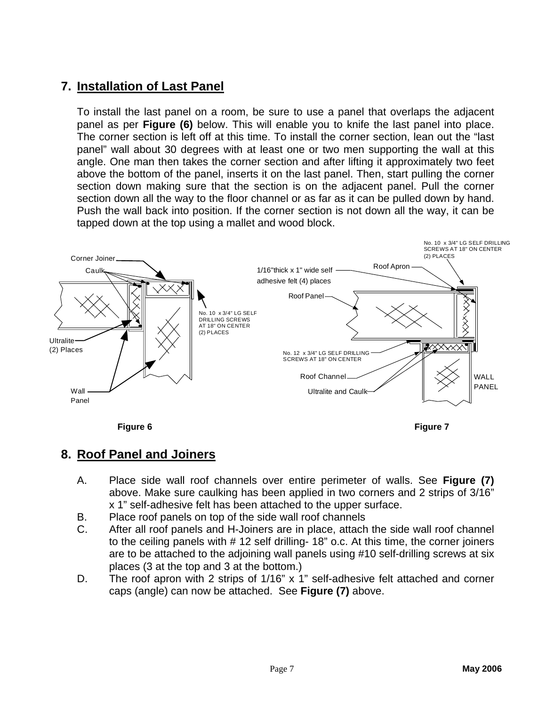## **7. Installation of Last Panel**

To install the last panel on a room, be sure to use a panel that overlaps the adjacent panel as per **Figure (6)** below. This will enable you to knife the last panel into place. The corner section is left off at this time. To install the corner section, lean out the "last panel" wall about 30 degrees with at least one or two men supporting the wall at this angle. One man then takes the corner section and after lifting it approximately two feet above the bottom of the panel, inserts it on the last panel. Then, start pulling the corner section down making sure that the section is on the adjacent panel. Pull the corner section down all the way to the floor channel or as far as it can be pulled down by hand. Push the wall back into position. If the corner section is not down all the way, it can be tapped down at the top using a mallet and wood block.



### **8. Roof Panel and Joiners**

- A. Place side wall roof channels over entire perimeter of walls. See **Figure (7)** above. Make sure caulking has been applied in two corners and 2 strips of 3/16" x 1" self-adhesive felt has been attached to the upper surface.
- B. Place roof panels on top of the side wall roof channels
- C. After all roof panels and H-Joiners are in place, attach the side wall roof channel to the ceiling panels with # 12 self drilling- 18" o.c. At this time, the corner joiners are to be attached to the adjoining wall panels using #10 self-drilling screws at six places (3 at the top and 3 at the bottom.)
- D. The roof apron with 2 strips of 1/16" x 1" self-adhesive felt attached and corner caps (angle) can now be attached. See **Figure (7)** above.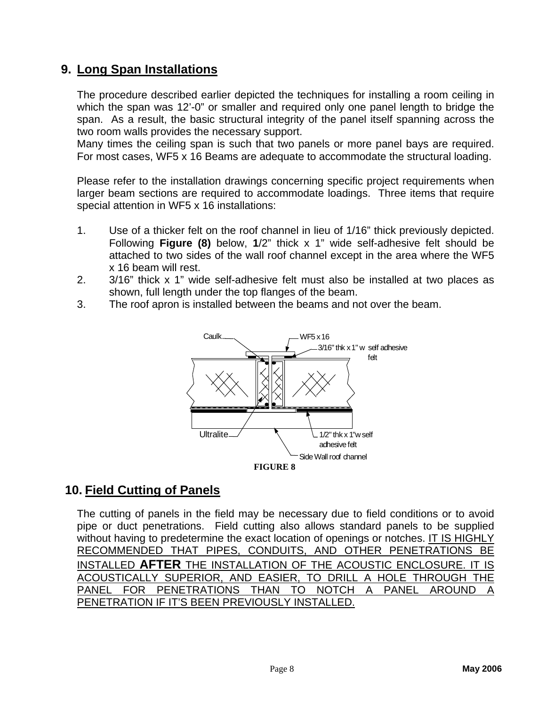### **9. Long Span Installations**

The procedure described earlier depicted the techniques for installing a room ceiling in which the span was 12'-0" or smaller and required only one panel length to bridge the span. As a result, the basic structural integrity of the panel itself spanning across the two room walls provides the necessary support.

Many times the ceiling span is such that two panels or more panel bays are required. For most cases, WF5 x 16 Beams are adequate to accommodate the structural loading.

Please refer to the installation drawings concerning specific project requirements when larger beam sections are required to accommodate loadings. Three items that require special attention in WF5 x 16 installations:

- 1. Use of a thicker felt on the roof channel in lieu of 1/16" thick previously depicted. Following **Figure (8)** below, **1**/2" thick x 1" wide self-adhesive felt should be attached to two sides of the wall roof channel except in the area where the WF5 x 16 beam will rest.
- 2. 3/16" thick x 1" wide self-adhesive felt must also be installed at two places as shown, full length under the top flanges of the beam.
- 3. The roof apron is installed between the beams and not over the beam.



### **10. Field Cutting of Panels**

The cutting of panels in the field may be necessary due to field conditions or to avoid pipe or duct penetrations. Field cutting also allows standard panels to be supplied without having to predetermine the exact location of openings or notches. IT IS HIGHLY RECOMMENDED THAT PIPES, CONDUITS, AND OTHER PENETRATIONS BE INSTALLED **AFTER** THE INSTALLATION OF THE ACOUSTIC ENCLOSURE. IT IS ACOUSTICALLY SUPERIOR, AND EASIER, TO DRILL A HOLE THROUGH THE PANEL FOR PENETRATIONS THAN TO NOTCH A PANEL AROUND PENETRATION IF IT'S BEEN PREVIOUSLY INSTALLED.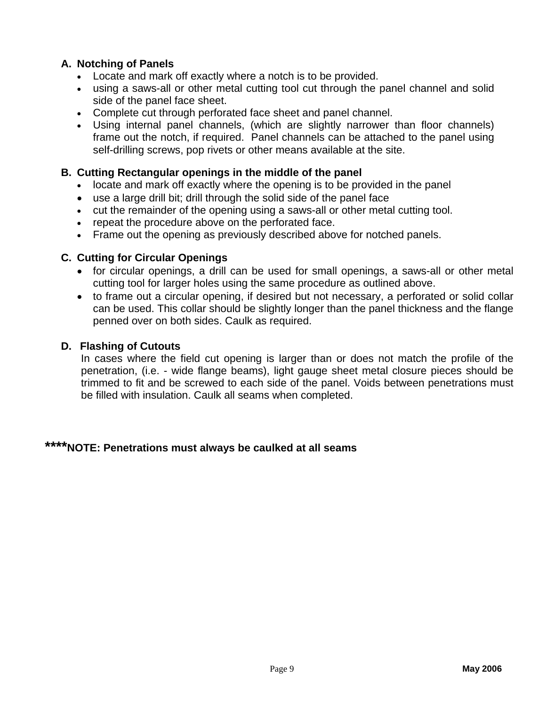#### **A. Notching of Panels**

- Locate and mark off exactly where a notch is to be provided.
- using a saws-all or other metal cutting tool cut through the panel channel and solid side of the panel face sheet.
- Complete cut through perforated face sheet and panel channel.
- Using internal panel channels, (which are slightly narrower than floor channels) frame out the notch, if required. Panel channels can be attached to the panel using self-drilling screws, pop rivets or other means available at the site.

#### **B. Cutting Rectangular openings in the middle of the panel**

- locate and mark off exactly where the opening is to be provided in the panel
- use a large drill bit; drill through the solid side of the panel face
- cut the remainder of the opening using a saws-all or other metal cutting tool.
- repeat the procedure above on the perforated face.
- Frame out the opening as previously described above for notched panels.

#### **C. Cutting for Circular Openings**

- for circular openings, a drill can be used for small openings, a saws-all or other metal cutting tool for larger holes using the same procedure as outlined above.
- to frame out a circular opening, if desired but not necessary, a perforated or solid collar can be used. This collar should be slightly longer than the panel thickness and the flange penned over on both sides. Caulk as required.

#### **D. Flashing of Cutouts**

In cases where the field cut opening is larger than or does not match the profile of the penetration, (i.e. - wide flange beams), light gauge sheet metal closure pieces should be trimmed to fit and be screwed to each side of the panel. Voids between penetrations must be filled with insulation. Caulk all seams when completed.

## **\*\*\*\*NOTE: Penetrations must always be caulked at all seams**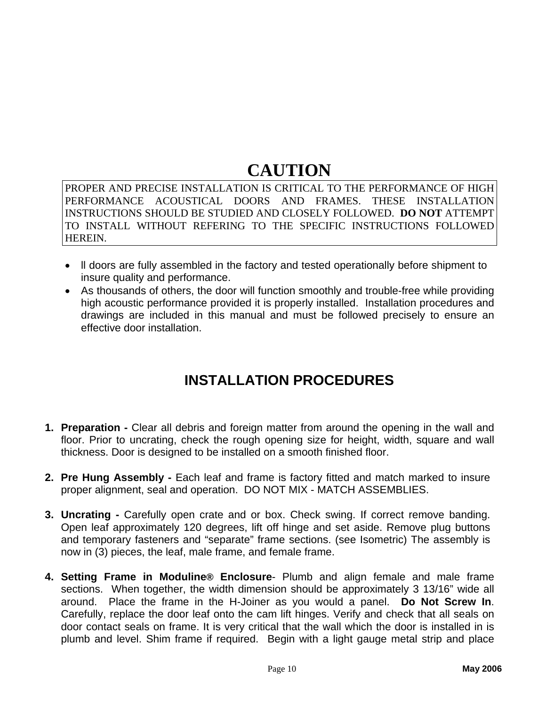## **CAUTION**

PROPER AND PRECISE INSTALLATION IS CRITICAL TO THE PERFORMANCE OF HIGH PERFORMANCE ACOUSTICAL DOORS AND FRAMES. THESE INSTALLATION INSTRUCTIONS SHOULD BE STUDIED AND CLOSELY FOLLOWED. **DO NOT** ATTEMPT TO INSTALL WITHOUT REFERING TO THE SPECIFIC INSTRUCTIONS FOLLOWED HEREIN.

- ll doors are fully assembled in the factory and tested operationally before shipment to insure quality and performance.
- As thousands of others, the door will function smoothly and trouble-free while providing high acoustic performance provided it is properly installed. Installation procedures and drawings are included in this manual and must be followed precisely to ensure an effective door installation.

## **INSTALLATION PROCEDURES**

- **1. Preparation -** Clear all debris and foreign matter from around the opening in the wall and floor. Prior to uncrating, check the rough opening size for height, width, square and wall thickness. Door is designed to be installed on a smooth finished floor.
- **2. Pre Hung Assembly** Each leaf and frame is factory fitted and match marked to insure proper alignment, seal and operation. DO NOT MIX - MATCH ASSEMBLIES.
- **3. Uncrating -** Carefully open crate and or box. Check swing. If correct remove banding. Open leaf approximately 120 degrees, lift off hinge and set aside. Remove plug buttons and temporary fasteners and "separate" frame sections. (see Isometric) The assembly is now in (3) pieces, the leaf, male frame, and female frame.
- **4. Setting Frame in Moduline® Enclosure** Plumb and align female and male frame sections. When together, the width dimension should be approximately 3 13/16" wide all around. Place the frame in the H-Joiner as you would a panel. **Do Not Screw In**. Carefully, replace the door leaf onto the cam lift hinges. Verify and check that all seals on door contact seals on frame. It is very critical that the wall which the door is installed in is plumb and level. Shim frame if required. Begin with a light gauge metal strip and place